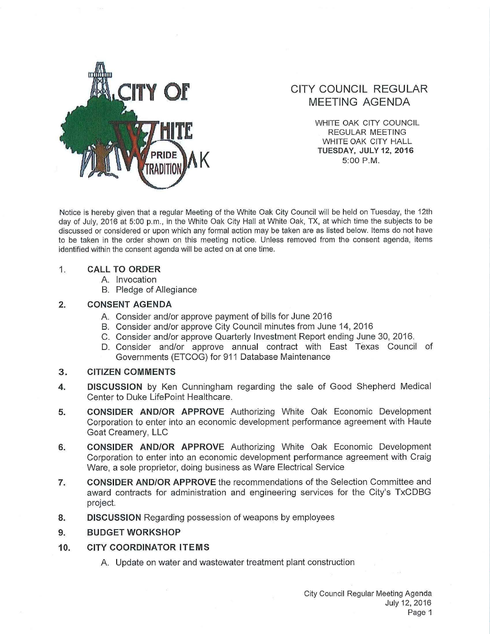

# **CITY COUNCIL REGULAR MEETING AGENDA**

WHITE OAK CITY COUNCIL REGULAR MEETING WHITE OAK CITY HALL **TUESDAY, JULY12,2016**  5:00 P.M.

Notice is hereby given that a regular Meeting of the White Oak City Council will be held on Tuesday, the 12th day of July, 2016 at 5:00 p.m., in the White Oak City Hall at White Oak, TX, at which time the subjects to be discussed or considered or upon which any formal action may be taken are as listed below. Items do not have to be taken in the order shown on this meeting notice. Unless removed from the consent agenda, items identified within the consent agenda will be acted on at one time.

# 1. **CALL TO ORDER**

- A. Invocation
- B. Pledge of Allegiance

### **2. CONSENT AGENDA**

- A. Consider and/or approve payment of bills for June 2016
- B. Consider and/or approve City Council minutes from June 14, 2016
- C. Consider and/or approve Quarterly Investment Report ending June 30, 2016.
- D. Consider and/or approve annual contract with East Texas Council of Governments (ETCOG) for 911 Database Maintenance

# **3. CITIZEN COMMENTS**

- **4. DISCUSSION** by Ken Cunningham regarding the sale of Good Shepherd Medical Center to Duke LifePoint Healthcare.
- **5. CONSIDER AND/OR APPROVE** Authorizing White Oak Economic Development Corporation to enter into an economic development performance agreement with Haute Goat Creamery, LLC
- **6. CONSIDER AND/OR APPROVE** Authorizing White Oak Economic Development Corporation to enter into an economic development performance agreement with Craig Ware, a sole proprietor, doing business as Ware Electrical Service
- **7. CONSIDER AND/OR APPROVE** the recommendations of the Selection Committee and award contracts for administration and engineering services for the City's TxCDBG project.
- **8. DISCUSSION** Regarding possession of weapons by employees

### **9. BUDGET WORKSHOP**

- **10. CITY COORDINATOR ITEMS** 
	- A. Update on water and wastewater treatment plant construction